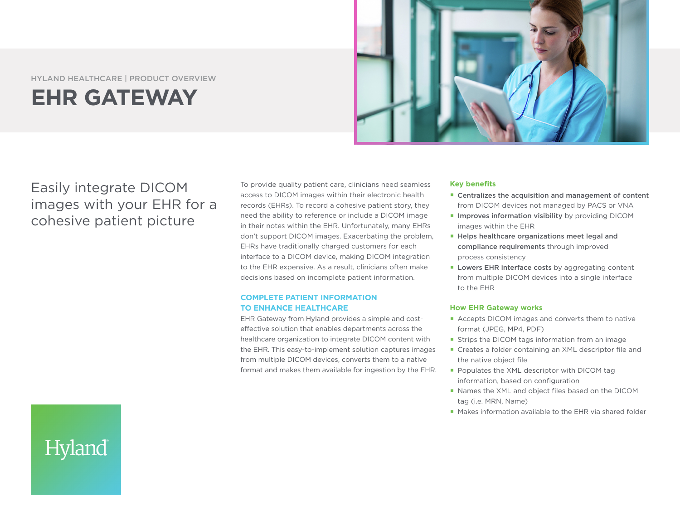#### HYLAND HEALTHCARE | PRODUCT OVERVIEW

# **EHR GATEWAY**



# Easily integrate DICOM images with your EHR for a cohesive patient picture

Hyland

To provide quality patient care, clinicians need seamless access to DICOM images within their electronic health records (EHRs). To record a cohesive patient story, they need the ability to reference or include a DICOM image in their notes within the EHR. Unfortunately, many EHRs don't support DICOM images. Exacerbating the problem, EHRs have traditionally charged customers for each interface to a DICOM device, making DICOM integration to the EHR expensive. As a result, clinicians often make decisions based on incomplete patient information.

### **COMPLETE PATIENT INFORMATION TO ENHANCE HEALTHCARE**

EHR Gateway from Hyland provides a simple and costeffective solution that enables departments across the healthcare organization to integrate DICOM content with the EHR. This easy-to-implement solution captures images from multiple DICOM devices, converts them to a native format and makes them available for ingestion by the EHR.

#### **Key benefits**

- Centralizes the acquisition and management of content from DICOM devices not managed by PACS or VNA
- **Improves information visibility** by providing DICOM images within the EHR
- Helps healthcare organizations meet legal and compliance requirements through improved process consistency
- **Lowers EHR interface costs** by aggregating content from multiple DICOM devices into a single interface to the EHR

#### **How EHR Gateway works**

- Accepts DICOM images and converts them to native format (JPEG, MP4, PDF)
- **Strips the DICOM tags information from an image**
- Creates a folder containing an XML descriptor file and the native object file
- Populates the XML descriptor with DICOM tag information, based on configuration
- Names the XML and object files based on the DICOM tag (i.e. MRN, Name)
- Makes information available to the EHR via shared folder